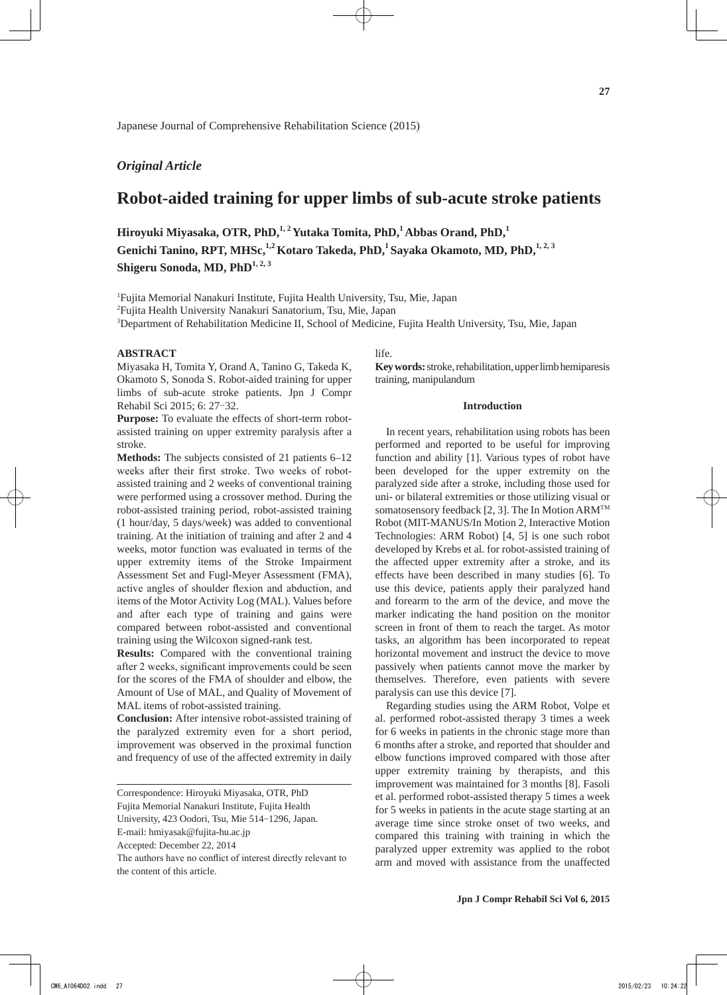Japanese Journal of Comprehensive Rehabilitation Science (2015)

## *Original Article*

# **Robot-aided training for upper limbs of sub-acute stroke patients**

**Hiroyuki Miyasaka, OTR, PhD,1, 2Yutaka Tomita, PhD,1 Abbas Orand, PhD,<sup>1</sup>** Genichi Tanino, RPT, MHSc,<sup>1,2</sup> Kotaro Takeda, PhD,<sup>1</sup> Sayaka Okamoto, MD, PhD,<sup>1,2,3</sup> **Shigeru Sonoda, MD, PhD1, 2, 3**

<sup>1</sup>Fujita Memorial Nanakuri Institute, Fujita Health University, Tsu, Mie, Japan

2 Fujita Health University Nanakuri Sanatorium, Tsu, Mie, Japan

3 Department of Rehabilitation Medicine II, School of Medicine, Fujita Health University, Tsu, Mie, Japan

### **ABSTRACT**

Miyasaka H, Tomita Y, Orand A, Tanino G, Takeda K, Okamoto S, Sonoda S. Robot-aided training for upper limbs of sub-acute stroke patients. Jpn J Compr Rehabil Sci 2015; 6: 27-32.

**Purpose:** To evaluate the effects of short-term robotassisted training on upper extremity paralysis after a stroke.

**Methods:** The subjects consisted of 21 patients 6–12 weeks after their first stroke. Two weeks of robotassisted training and 2 weeks of conventional training were performed using a crossover method. During the robot-assisted training period, robot-assisted training (1 hour/day, 5 days/week) was added to conventional training. At the initiation of training and after 2 and 4 weeks, motor function was evaluated in terms of the upper extremity items of the Stroke Impairment Assessment Set and Fugl-Meyer Assessment (FMA), active angles of shoulder flexion and abduction, and items of the Motor Activity Log (MAL). Values before and after each type of training and gains were compared between robot-assisted and conventional training using the Wilcoxon signed-rank test.

**Results:** Compared with the conventional training after 2 weeks, significant improvements could be seen for the scores of the FMA of shoulder and elbow, the Amount of Use of MAL, and Quality of Movement of MAL items of robot-assisted training.

**Conclusion:** After intensive robot-assisted training of the paralyzed extremity even for a short period, improvement was observed in the proximal function and frequency of use of the affected extremity in daily life.

**Key words:** stroke, rehabilitation, upper limb hemiparesis training, manipulandum

### **Introduction**

In recent years, rehabilitation using robots has been performed and reported to be useful for improving function and ability [1]. Various types of robot have been developed for the upper extremity on the paralyzed side after a stroke, including those used for uni- or bilateral extremities or those utilizing visual or somatosensory feedback [2, 3]. The In Motion ARMTM Robot (MIT-MANUS/In Motion 2, Interactive Motion Technologies: ARM Robot) [4, 5] is one such robot developed by Krebs et al. for robot-assisted training of the affected upper extremity after a stroke, and its effects have been described in many studies [6]. To use this device, patients apply their paralyzed hand and forearm to the arm of the device, and move the marker indicating the hand position on the monitor screen in front of them to reach the target. As motor tasks, an algorithm has been incorporated to repeat horizontal movement and instruct the device to move passively when patients cannot move the marker by themselves. Therefore, even patients with severe paralysis can use this device [7].

Regarding studies using the ARM Robot, Volpe et al. performed robot-assisted therapy 3 times a week for 6 weeks in patients in the chronic stage more than 6 months after a stroke, and reported that shoulder and elbow functions improved compared with those after upper extremity training by therapists, and this improvement was maintained for 3 months [8]. Fasoli et al. performed robot-assisted therapy 5 times a week for 5 weeks in patients in the acute stage starting at an average time since stroke onset of two weeks, and compared this training with training in which the paralyzed upper extremity was applied to the robot arm and moved with assistance from the unaffected

Correspondence: Hiroyuki Miyasaka, OTR, PhD

Fujita Memorial Nanakuri Institute, Fujita Health

University, 423 Oodori, Tsu, Mie 514-1296, Japan.

E-mail: hmiyasak@fujita-hu.ac.jp

Accepted: December 22, 2014

The authors have no conflict of interest directly relevant to the content of this article.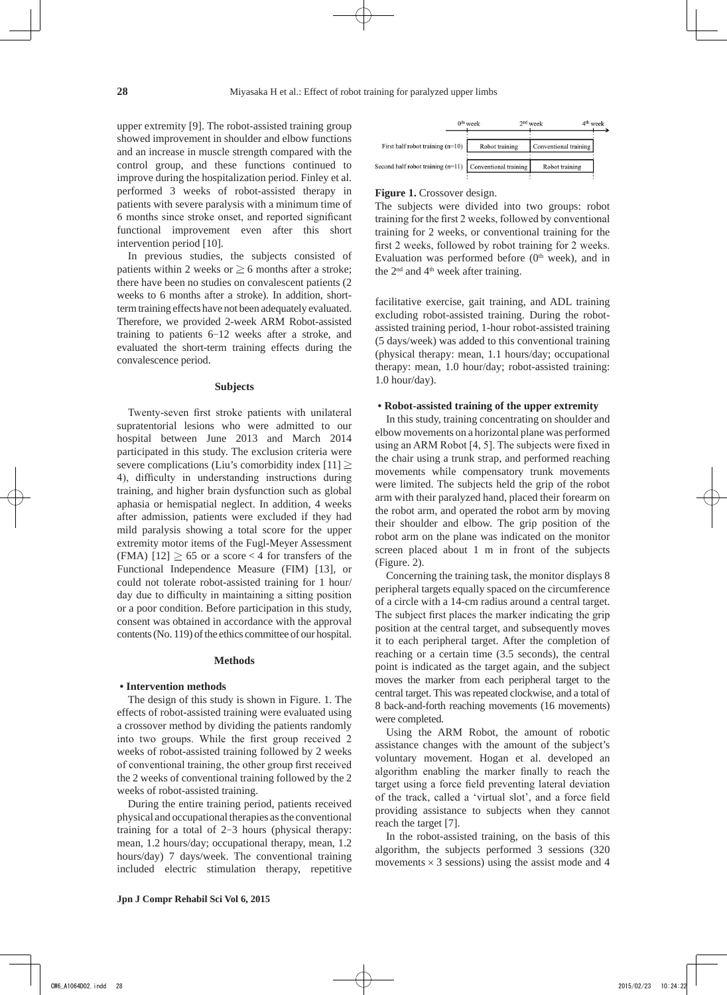upper extremity [9]. The robot-assisted training group showed improvement in shoulder and elbow functions and an increase in muscle strength compared with the control group, and these functions continued to improve during the hospitalization period. Finley et al. performed 3 weeks of robot-assisted therapy in patients with severe paralysis with a minimum time of 6 months since stroke onset, and reported significant functional improvement even after this short intervention period [10].

In previous studies, the subjects consisted of patients within 2 weeks or  $\geq 6$  months after a stroke; there have been no studies on convalescent patients (2 weeks to 6 months after a stroke). In addition, shortterm training effects have not been adequately evaluated. Therefore, we provided 2-week ARM Robot-assisted training to patients 6-12 weeks after a stroke, and evaluated the short-term training effects during the convalescence period.

#### **Subjects**

Twenty-seven first stroke patients with unilateral supratentorial lesions who were admitted to our hospital between June 2013 and March 2014 participated in this study. The exclusion criteria were severe complications (Liu's comorbidity index [11]  $\geq$ 4), difficulty in understanding instructions during training, and higher brain dysfunction such as global aphasia or hemispatial neglect. In addition, 4 weeks after admission, patients were excluded if they had mild paralysis showing a total score for the upper extremity motor items of the Fugl-Meyer Assessment (FMA)  $[12] \ge 65$  or a score < 4 for transfers of the Functional Independence Measure (FIM) [13], or could not tolerate robot-assisted training for 1 hour/ day due to difficulty in maintaining a sitting position or a poor condition. Before participation in this study, consent was obtained in accordance with the approval contents (No. 119) of the ethics committee of our hospital.

#### **Methods**

## **• Intervention methods**

The design of this study is shown in Figure. 1. The effects of robot-assisted training were evaluated using a crossover method by dividing the patients randomly into two groups. While the first group received 2 weeks of robot-assisted training followed by 2 weeks of conventional training, the other group first received the 2 weeks of conventional training followed by the 2 weeks of robot-assisted training.

During the entire training period, patients received physical and occupational therapies as the conventional training for a total of 2-3 hours (physical therapy: mean, 1.2 hours/day; occupational therapy, mean, 1.2 hours/day) 7 days/week. The conventional training included electric stimulation therapy, repetitive



#### **Figure 1.** Crossover design.

The subjects were divided into two groups: robot training for the first 2 weeks, followed by conventional training for 2 weeks, or conventional training for the first 2 weeks, followed by robot training for 2 weeks. Evaluation was performed before  $(0<sup>th</sup> week)$ , and in the  $2<sup>nd</sup>$  and  $4<sup>th</sup>$  week after training.

facilitative exercise, gait training, and ADL training excluding robot-assisted training. During the robotassisted training period, 1-hour robot-assisted training (5 days/week) was added to this conventional training (physical therapy: mean, 1.1 hours/day; occupational therapy: mean, 1.0 hour/day; robot-assisted training: 1.0 hour/day).

### **• Robot-assisted training of the upper extremity**

In this study, training concentrating on shoulder and elbow movements on a horizontal plane was performed using an ARM Robot [4, 5]. The subjects were fixed in the chair using a trunk strap, and performed reaching movements while compensatory trunk movements were limited. The subjects held the grip of the robot arm with their paralyzed hand, placed their forearm on the robot arm, and operated the robot arm by moving their shoulder and elbow. The grip position of the robot arm on the plane was indicated on the monitor screen placed about 1 m in front of the subjects (Figure. 2).

Concerning the training task, the monitor displays 8 peripheral targets equally spaced on the circumference of a circle with a 14-cm radius around a central target. The subject first places the marker indicating the grip position at the central target, and subsequently moves it to each peripheral target. After the completion of reaching or a certain time (3.5 seconds), the central point is indicated as the target again, and the subject moves the marker from each peripheral target to the central target. This was repeated clockwise, and a total of 8 back-and-forth reaching movements (16 movements) were completed.

Using the ARM Robot, the amount of robotic assistance changes with the amount of the subject's voluntary movement. Hogan et al. developed an algorithm enabling the marker finally to reach the target using a force field preventing lateral deviation of the track, called a 'virtual slot', and a force field providing assistance to subjects when they cannot reach the target [7].

In the robot-assisted training, on the basis of this algorithm, the subjects performed 3 sessions (320 movements  $\times$  3 sessions) using the assist mode and 4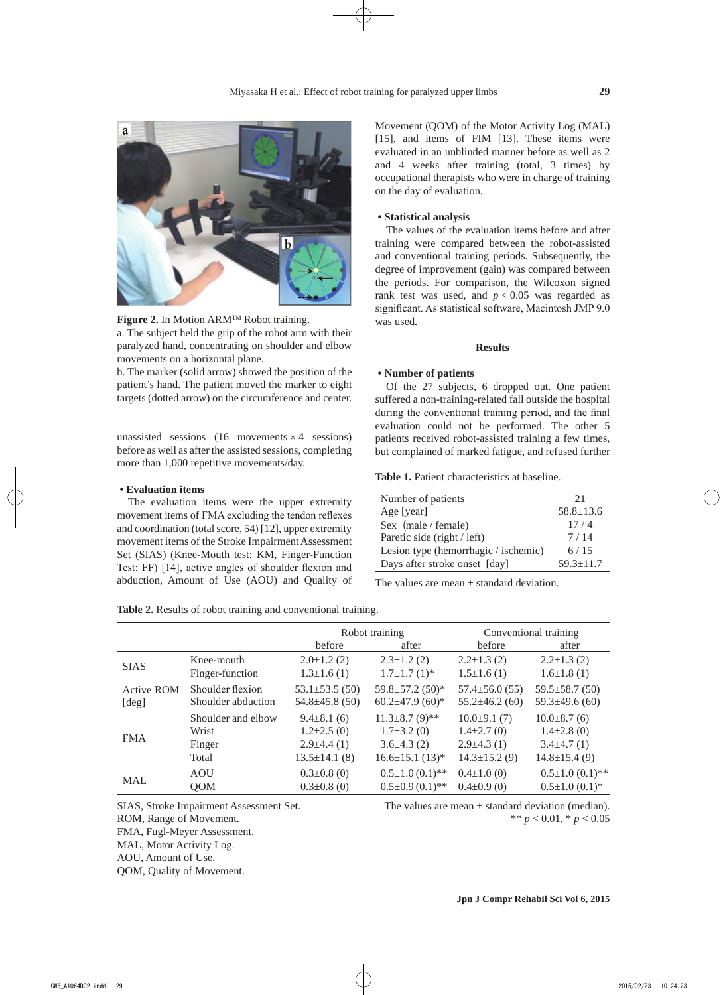



a. The subject held the grip of the robot arm with their paralyzed hand, concentrating on shoulder and elbow movements on a horizontal plane.

b. The marker (solid arrow) showed the position of the patient's hand. The patient moved the marker to eight targets (dotted arrow) on the circumference and center.

unassisted sessions (16 movements  $\times$  4 sessions) before as well as after the assisted sessions, completing more than 1,000 repetitive movements/day.

## **• Evaluation items**

The evaluation items were the upper extremity movement items of FMA excluding the tendon reflexes and coordination (total score, 54) [12], upper extremity movement items of the Stroke Impairment Assessment Set (SIAS) (Knee-Mouth test: KM, Finger-Function Test: FF) [14], active angles of shoulder flexion and abduction, Amount of Use (AOU) and Quality of

**Table 2.** Results of robot training and conventional training.

Movement (QOM) of the Motor Activity Log (MAL) [15], and items of FIM [13]. These items were evaluated in an unblinded manner before as well as 2 and 4 weeks after training (total, 3 times) by occupational therapists who were in charge of training on the day of evaluation.

## **• Statistical analysis**

The values of the evaluation items before and after training were compared between the robot-assisted and conventional training periods. Subsequently, the degree of improvement (gain) was compared between the periods. For comparison, the Wilcoxon signed rank test was used, and  $p < 0.05$  was regarded as significant. As statistical software, Macintosh JMP 9.0 was used.

## **Results**

#### **• Number of patients**

Of the 27 subjects, 6 dropped out. One patient suffered a non-training-related fall outside the hospital during the conventional training period, and the final evaluation could not be performed. The other 5 patients received robot-assisted training a few times, but complained of marked fatigue, and refused further

**Table 1.** Patient characteristics at baseline.

| Number of patients                   | 21              |
|--------------------------------------|-----------------|
| Age [year]                           | $58.8 \pm 13.6$ |
| Sex $(male / female)$                | 17/4            |
| Paretic side (right / left)          | 7/14            |
| Lesion type (hemorrhagic / ischemic) | 6/15            |
| Days after stroke onset [day]        | $59.3 \pm 11.7$ |

The values are mean  $\pm$  standard deviation.

|                   |                    |                      | Robot training        | Conventional training |                          |
|-------------------|--------------------|----------------------|-----------------------|-----------------------|--------------------------|
|                   |                    | before               | after                 | before                | after                    |
| <b>SIAS</b>       | Knee-mouth         | $2.0 \pm 1.2$ (2)    | $2.3 \pm 1.2$ (2)     | $2.2 \pm 1.3$ (2)     | $2.2 \pm 1.3$ (2)        |
|                   | Finger-function    | $1.3 \pm 1.6(1)$     | $1.7\pm1.7(1)$ *      | $1.5 \pm 1.6(1)$      | $1.6 \pm 1.8$ (1)        |
| <b>Active ROM</b> | Shoulder flexion   | $53.1 \pm 53.5(50)$  | 59.8±57.2 (50)*       | $57.4 \pm 56.0(55)$   | $59.5 \pm 58.7(50)$      |
| [deg]             | Shoulder abduction | $54.8 \pm 45.8$ (50) | 60.2 $\pm$ 47.9 (60)* | $55.2 \pm 46.2$ (60)  | $59.3 \pm 49.6$ (60)     |
| <b>FMA</b>        | Shoulder and elbow | $9.4 \pm 8.1$ (6)    | $11.3\pm8.7(9)$ **    | $10.0\pm9.1(7)$       | $10.0\pm8.7(6)$          |
|                   | Wrist              | $1.2\pm2.5(0)$       | $1.7\pm3.2(0)$        | $1.4 \pm 2.7(0)$      | $1.4\pm2.8(0)$           |
|                   | Finger             | $2.9\pm4.4(1)$       | $3.6\pm4.3(2)$        | $2.9\pm4.3(1)$        | $3.4\pm4.7(1)$           |
|                   | Total              | $13.5 \pm 14.1$ (8)  | $16.6 \pm 15.1$ (13)* | $14.3 \pm 15.2$ (9)   | $14.8 \pm 15.4(9)$       |
| <b>MAL</b>        | AOU                | $0.3 \pm 0.8$ (0)    | $0.5 \pm 1.0(0.1)$ ** | $0.4 \pm 1.0$ (0)     | $0.5 \pm 1.0$ $(0.1)$ ** |
|                   | <b>OOM</b>         | $0.3 \pm 0.8$ (0)    | $0.5 \pm 0.9(0.1)$ ** | $0.4 \pm 0.9$ (0)     | $0.5 \pm 1.0$ $(0.1)$ *  |

FMA, Fugl-Meyer Assessment.

MAL, Motor Activity Log.

AOU, Amount of Use.

QOM, Quality of Movement.

SIAS, Stroke Impairment Assessment Set. The values are mean ± standard deviation (median). ROM, Range of Movement.  $*^{*} p < 0.01, * p < 0.05$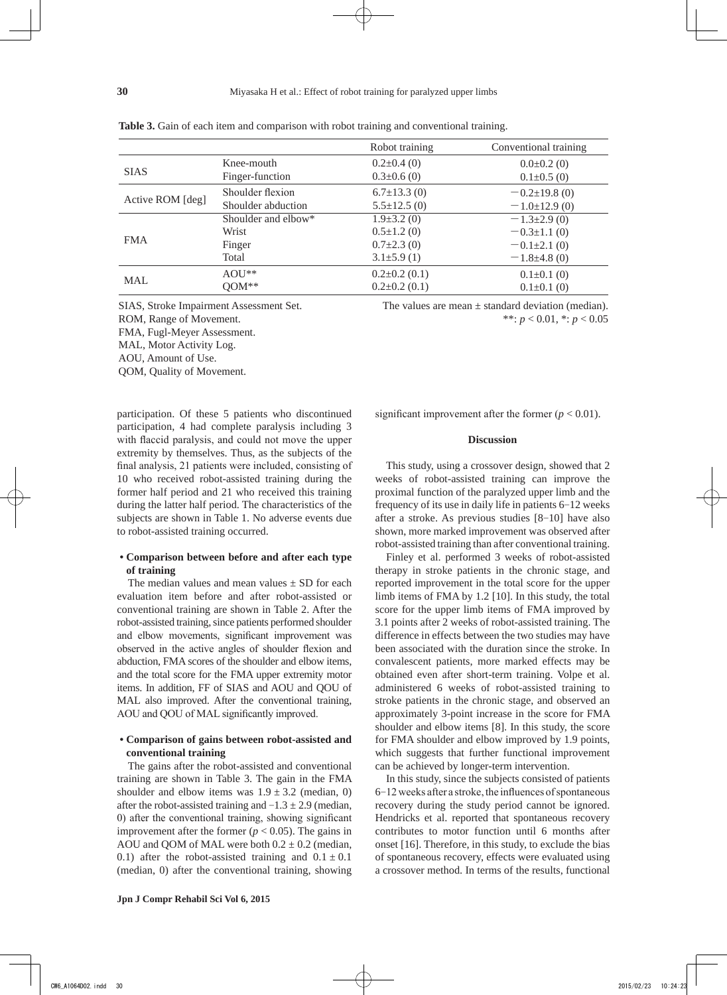|                  |                     | Robot training      | Conventional training |
|------------------|---------------------|---------------------|-----------------------|
|                  | Knee-mouth          | $0.2\pm0.4(0)$      | $0.0\pm0.2$ (0)       |
| <b>SIAS</b>      | Finger-function     | $0.3 \pm 0.6$ (0)   | $0.1 \pm 0.5$ (0)     |
| Active ROM [deg] | Shoulder flexion    | $6.7 \pm 13.3$ (0)  | $-0.2\pm19.8(0)$      |
|                  | Shoulder abduction  | $5.5 \pm 12.5$ (0)  | $-1.0\pm12.9(0)$      |
| <b>FMA</b>       | Shoulder and elbow* | $1.9\pm3.2(0)$      | $-1.3\pm2.9(0)$       |
|                  | Wrist               | $0.5 \pm 1.2$ (0)   | $-0.3{\pm}1.1(0)$     |
|                  | Finger              | $0.7\pm2.3(0)$      | $-0.1\pm2.1(0)$       |
|                  | Total               | $3.1\pm5.9(1)$      | $-1.8\pm4.8(0)$       |
|                  | $AOU**$             | $0.2 \pm 0.2$ (0.1) | $0.1 \pm 0.1$ (0)     |
| <b>MAL</b>       | $QOM**$             | $0.2 \pm 0.2$ (0.1) | $0.1 \pm 0.1$ (0)     |

**Table 3.** Gain of each item and comparison with robot training and conventional training.

FMA, Fugl-Meyer Assessment.

MAL, Motor Activity Log.

AOU, Amount of Use.

QOM, Quality of Movement.

participation. Of these 5 patients who discontinued participation, 4 had complete paralysis including 3 with flaccid paralysis, and could not move the upper extremity by themselves. Thus, as the subjects of the final analysis, 21 patients were included, consisting of 10 who received robot-assisted training during the former half period and 21 who received this training during the latter half period. The characteristics of the subjects are shown in Table 1. No adverse events due to robot-assisted training occurred.

## **• Comparison between before and after each type of training**

The median values and mean values  $+$  SD for each evaluation item before and after robot-assisted or conventional training are shown in Table 2. After the robot-assisted training, since patients performed shoulder and elbow movements, significant improvement was observed in the active angles of shoulder flexion and abduction, FMA scores of the shoulder and elbow items, and the total score for the FMA upper extremity motor items. In addition, FF of SIAS and AOU and QOU of MAL also improved. After the conventional training, AOU and QOU of MAL significantly improved.

## **• Comparison of gains between robot-assisted and conventional training**

The gains after the robot-assisted and conventional training are shown in Table 3. The gain in the FMA shoulder and elbow items was  $1.9 \pm 3.2$  (median, 0) after the robot-assisted training and  $-1.3 \pm 2.9$  (median, 0) after the conventional training, showing significant improvement after the former  $(p < 0.05)$ . The gains in AOU and OOM of MAL were both  $0.2 \pm 0.2$  (median, 0.1) after the robot-assisted training and  $0.1 \pm 0.1$ (median, 0) after the conventional training, showing

SIAS, Stroke Impairment Assessment Set. The values are mean ± standard deviation (median). ROM, Range of Movement.  $^{**}: p < 0.01, ^{*}: p < 0.05$ 

significant improvement after the former  $(p < 0.01)$ .

## **Discussion**

This study, using a crossover design, showed that 2 weeks of robot-assisted training can improve the proximal function of the paralyzed upper limb and the frequency of its use in daily life in patients 6-12 weeks after a stroke. As previous studies [8-10] have also shown, more marked improvement was observed after robot-assisted training than after conventional training.

Finley et al. performed 3 weeks of robot-assisted therapy in stroke patients in the chronic stage, and reported improvement in the total score for the upper limb items of FMA by 1.2 [10]. In this study, the total score for the upper limb items of FMA improved by 3.1 points after 2 weeks of robot-assisted training. The difference in effects between the two studies may have been associated with the duration since the stroke. In convalescent patients, more marked effects may be obtained even after short-term training. Volpe et al. administered 6 weeks of robot-assisted training to stroke patients in the chronic stage, and observed an approximately 3-point increase in the score for FMA shoulder and elbow items [8]. In this study, the score for FMA shoulder and elbow improved by 1.9 points, which suggests that further functional improvement can be achieved by longer-term intervention.

In this study, since the subjects consisted of patients 6-12 weeks after a stroke, the influences of spontaneous recovery during the study period cannot be ignored. Hendricks et al. reported that spontaneous recovery contributes to motor function until 6 months after onset [16]. Therefore, in this study, to exclude the bias of spontaneous recovery, effects were evaluated using a crossover method. In terms of the results, functional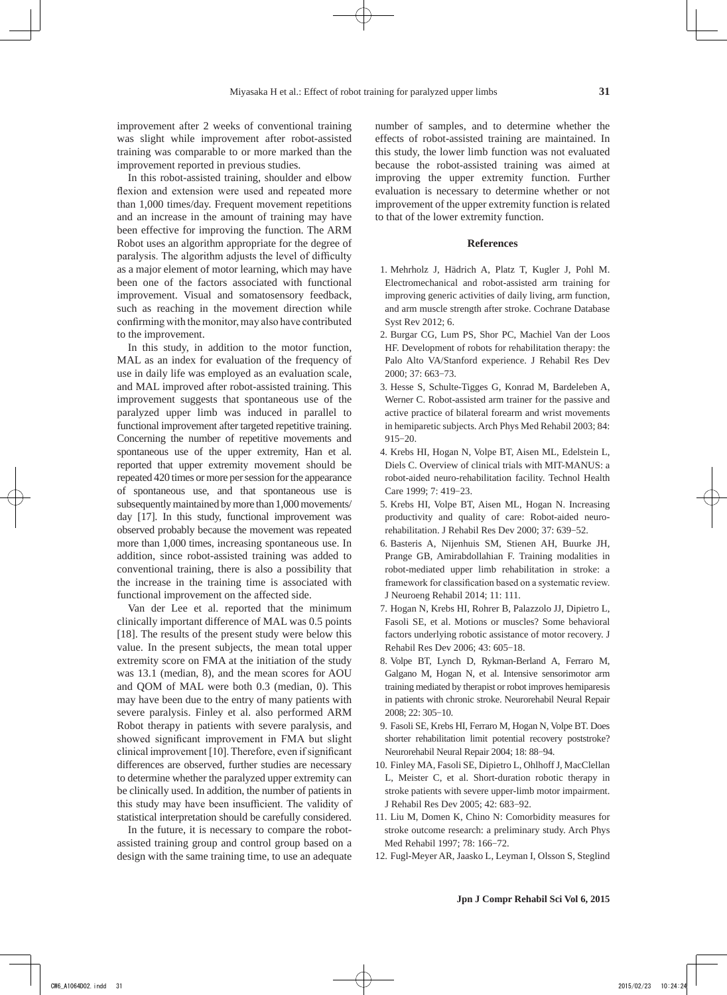improvement after 2 weeks of conventional training was slight while improvement after robot-assisted training was comparable to or more marked than the improvement reported in previous studies.

In this robot-assisted training, shoulder and elbow flexion and extension were used and repeated more than 1,000 times/day. Frequent movement repetitions and an increase in the amount of training may have been effective for improving the function. The ARM Robot uses an algorithm appropriate for the degree of paralysis. The algorithm adjusts the level of difficulty as a major element of motor learning, which may have been one of the factors associated with functional improvement. Visual and somatosensory feedback, such as reaching in the movement direction while confirming with the monitor, may also have contributed to the improvement.

In this study, in addition to the motor function, MAL as an index for evaluation of the frequency of use in daily life was employed as an evaluation scale, and MAL improved after robot-assisted training. This improvement suggests that spontaneous use of the paralyzed upper limb was induced in parallel to functional improvement after targeted repetitive training. Concerning the number of repetitive movements and spontaneous use of the upper extremity, Han et al. reported that upper extremity movement should be repeated 420 times or more per session for the appearance of spontaneous use, and that spontaneous use is subsequently maintained by more than 1,000 movements/ day [17]. In this study, functional improvement was observed probably because the movement was repeated more than 1,000 times, increasing spontaneous use. In addition, since robot-assisted training was added to conventional training, there is also a possibility that the increase in the training time is associated with functional improvement on the affected side.

Van der Lee et al. reported that the minimum clinically important difference of MAL was 0.5 points [18]. The results of the present study were below this value. In the present subjects, the mean total upper extremity score on FMA at the initiation of the study was 13.1 (median, 8), and the mean scores for AOU and QOM of MAL were both 0.3 (median, 0). This may have been due to the entry of many patients with severe paralysis. Finley et al. also performed ARM Robot therapy in patients with severe paralysis, and showed significant improvement in FMA but slight clinical improvement [10]. Therefore, even if significant differences are observed, further studies are necessary to determine whether the paralyzed upper extremity can be clinically used. In addition, the number of patients in this study may have been insufficient. The validity of statistical interpretation should be carefully considered.

In the future, it is necessary to compare the robotassisted training group and control group based on a design with the same training time, to use an adequate number of samples, and to determine whether the effects of robot-assisted training are maintained. In this study, the lower limb function was not evaluated because the robot-assisted training was aimed at improving the upper extremity function. Further evaluation is necessary to determine whether or not improvement of the upper extremity function is related to that of the lower extremity function.

#### **References**

- 1. Mehrholz J, Hädrich A, Platz T, Kugler J, Pohl M. Electromechanical and robot-assisted arm training for improving generic activities of daily living, arm function, and arm muscle strength after stroke. Cochrane Database Syst Rev 2012; 6.
- 2. Burgar CG, Lum PS, Shor PC, Machiel Van der Loos HF. Development of robots for rehabilitation therapy: the Palo Alto VA/Stanford experience. J Rehabil Res Dev 2000; 37: 663-73.
- 3. Hesse S, Schulte-Tigges G, Konrad M, Bardeleben A, Werner C. Robot-assisted arm trainer for the passive and active practice of bilateral forearm and wrist movements in hemiparetic subjects. Arch Phys Med Rehabil 2003; 84: 915-20.
- 4. Krebs HI, Hogan N, Volpe BT, Aisen ML, Edelstein L, Diels C. Overview of clinical trials with MIT-MANUS: a robot-aided neuro-rehabilitation facility. Technol Health Care 1999; 7: 419-23.
- 5. Krebs HI, Volpe BT, Aisen ML, Hogan N. Increasing productivity and quality of care: Robot-aided neurorehabilitation. J Rehabil Res Dev 2000; 37: 639-52.
- 6. Basteris A, Nijenhuis SM, Stienen AH, Buurke JH, Prange GB, Amirabdollahian F. Training modalities in robot-mediated upper limb rehabilitation in stroke: a framework for classification based on a systematic review. J Neuroeng Rehabil 2014; 11: 111.
- 7. Hogan N, Krebs HI, Rohrer B, Palazzolo JJ, Dipietro L, Fasoli SE, et al. Motions or muscles? Some behavioral factors underlying robotic assistance of motor recovery. J Rehabil Res Dev 2006; 43: 605-18.
- 8. Volpe BT, Lynch D, Rykman-Berland A, Ferraro M, Galgano M, Hogan N, et al. Intensive sensorimotor arm training mediated by therapist or robot improves hemiparesis in patients with chronic stroke. Neurorehabil Neural Repair 2008; 22: 305-10.
- 9. Fasoli SE, Krebs HI, Ferraro M, Hogan N, Volpe BT. Does shorter rehabilitation limit potential recovery poststroke? Neurorehabil Neural Repair 2004; 18: 88-94.
- 10. Finley MA, Fasoli SE, Dipietro L, Ohlhoff J, MacClellan L, Meister C, et al. Short-duration robotic therapy in stroke patients with severe upper-limb motor impairment. J Rehabil Res Dev 2005; 42: 683-92.
- 11. Liu M, Domen K, Chino N: Comorbidity measures for stroke outcome research: a preliminary study. Arch Phys Med Rehabil 1997; 78: 166-72.
- 12. Fugl-Meyer AR, Jaasko L, Leyman I, Olsson S, Steglind